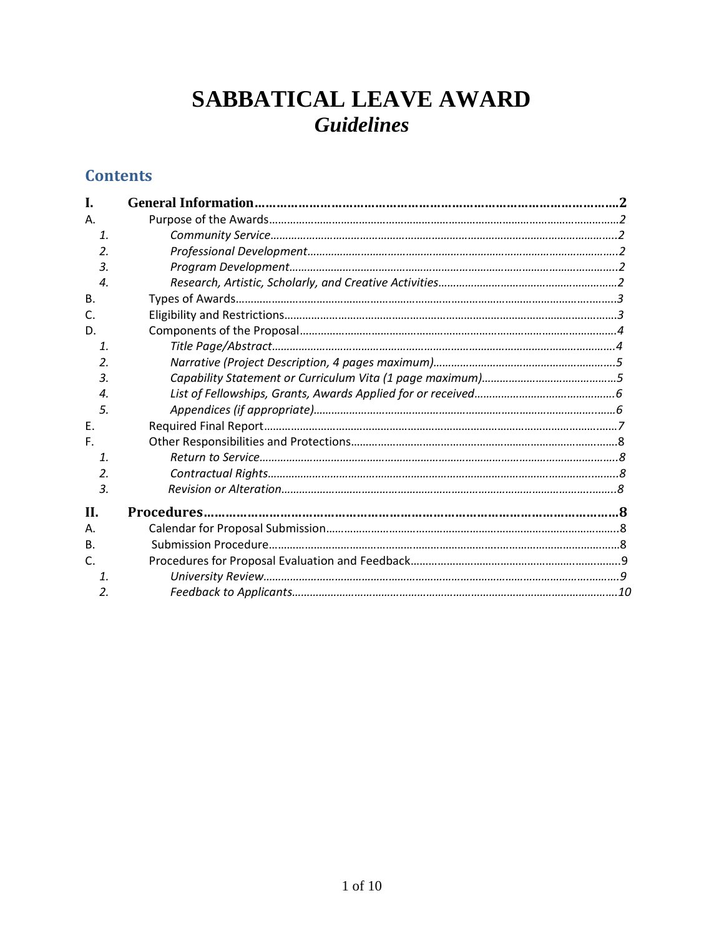# **SABBATICAL LEAVE AWARD** *Guidelines*

# **Contents**

| L.                         |  |
|----------------------------|--|
| Α.                         |  |
| $\mathbf{1}$               |  |
| $\mathfrak{D}$             |  |
| 3.                         |  |
| $\boldsymbol{\mathcal{A}}$ |  |
| <b>B.</b>                  |  |
| C.                         |  |
| D.                         |  |
| $\mathbf{1}$               |  |
| 2.                         |  |
| 3.                         |  |
| 4.                         |  |
| .5.                        |  |
| Ε.                         |  |
| F.                         |  |
| $\mathbf{1}$               |  |
| $\mathfrak{D}$             |  |
| 3.                         |  |
| <b>II.</b>                 |  |
| А.                         |  |
| <b>B.</b>                  |  |
| $\mathsf{C}$               |  |
| $\mathbf{1}$               |  |
| 2.                         |  |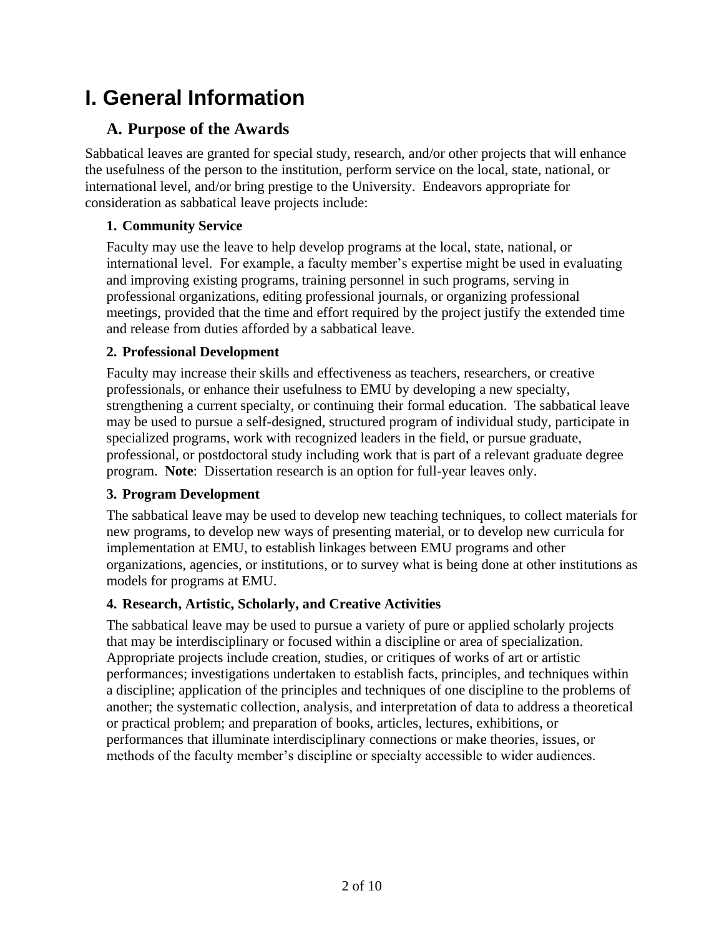# **I. General Information**

# **A. Purpose of the Awards**

Sabbatical leaves are granted for special study, research, and/or other projects that will enhance the usefulness of the person to the institution, perform service on the local, state, national, or international level, and/or bring prestige to the University. Endeavors appropriate for consideration as sabbatical leave projects include:

## **1. Community Service**

Faculty may use the leave to help develop programs at the local, state, national, or international level. For example, a faculty member's expertise might be used in evaluating and improving existing programs, training personnel in such programs, serving in professional organizations, editing professional journals, or organizing professional meetings, provided that the time and effort required by the project justify the extended time and release from duties afforded by a sabbatical leave.

### **2. Professional Development**

Faculty may increase their skills and effectiveness as teachers, researchers, or creative professionals, or enhance their usefulness to EMU by developing a new specialty, strengthening a current specialty, or continuing their formal education. The sabbatical leave may be used to pursue a self-designed, structured program of individual study, participate in specialized programs, work with recognized leaders in the field, or pursue graduate, professional, or postdoctoral study including work that is part of a relevant graduate degree program. **Note**: Dissertation research is an option for full-year leaves only.

#### **3. Program Development**

The sabbatical leave may be used to develop new teaching techniques, to collect materials for new programs, to develop new ways of presenting material, or to develop new curricula for implementation at EMU, to establish linkages between EMU programs and other organizations, agencies, or institutions, or to survey what is being done at other institutions as models for programs at EMU.

## **4. Research, Artistic, Scholarly, and Creative Activities**

The sabbatical leave may be used to pursue a variety of pure or applied scholarly projects that may be interdisciplinary or focused within a discipline or area of specialization. Appropriate projects include creation, studies, or critiques of works of art or artistic performances; investigations undertaken to establish facts, principles, and techniques within a discipline; application of the principles and techniques of one discipline to the problems of another; the systematic collection, analysis, and interpretation of data to address a theoretical or practical problem; and preparation of books, articles, lectures, exhibitions, or performances that illuminate interdisciplinary connections or make theories, issues, or methods of the faculty member's discipline or specialty accessible to wider audiences.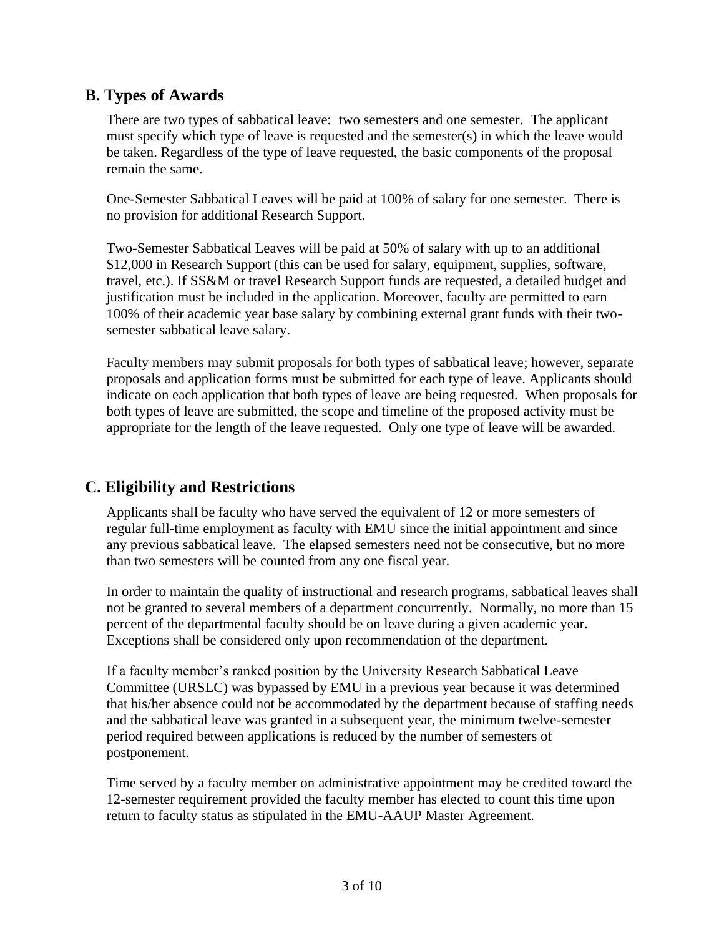## **B. Types of Awards**

There are two types of sabbatical leave: two semesters and one semester. The applicant must specify which type of leave is requested and the semester(s) in which the leave would be taken. Regardless of the type of leave requested, the basic components of the proposal remain the same.

One-Semester Sabbatical Leaves will be paid at 100% of salary for one semester. There is no provision for additional Research Support.

Two-Semester Sabbatical Leaves will be paid at 50% of salary with up to an additional \$12,000 in Research Support (this can be used for salary, equipment, supplies, software, travel, etc.). If SS&M or travel Research Support funds are requested, a detailed budget and justification must be included in the application. Moreover, faculty are permitted to earn 100% of their academic year base salary by combining external grant funds with their twosemester sabbatical leave salary.

Faculty members may submit proposals for both types of sabbatical leave; however, separate proposals and application forms must be submitted for each type of leave. Applicants should indicate on each application that both types of leave are being requested. When proposals for both types of leave are submitted, the scope and timeline of the proposed activity must be appropriate for the length of the leave requested. Only one type of leave will be awarded.

## **C. Eligibility and Restrictions**

Applicants shall be faculty who have served the equivalent of 12 or more semesters of regular full-time employment as faculty with EMU since the initial appointment and since any previous sabbatical leave. The elapsed semesters need not be consecutive, but no more than two semesters will be counted from any one fiscal year.

In order to maintain the quality of instructional and research programs, sabbatical leaves shall not be granted to several members of a department concurrently. Normally, no more than 15 percent of the departmental faculty should be on leave during a given academic year. Exceptions shall be considered only upon recommendation of the department.

If a faculty member's ranked position by the University Research Sabbatical Leave Committee (URSLC) was bypassed by EMU in a previous year because it was determined that his/her absence could not be accommodated by the department because of staffing needs and the sabbatical leave was granted in a subsequent year, the minimum twelve-semester period required between applications is reduced by the number of semesters of postponement.

Time served by a faculty member on administrative appointment may be credited toward the 12-semester requirement provided the faculty member has elected to count this time upon return to faculty status as stipulated in the EMU-AAUP Master Agreement.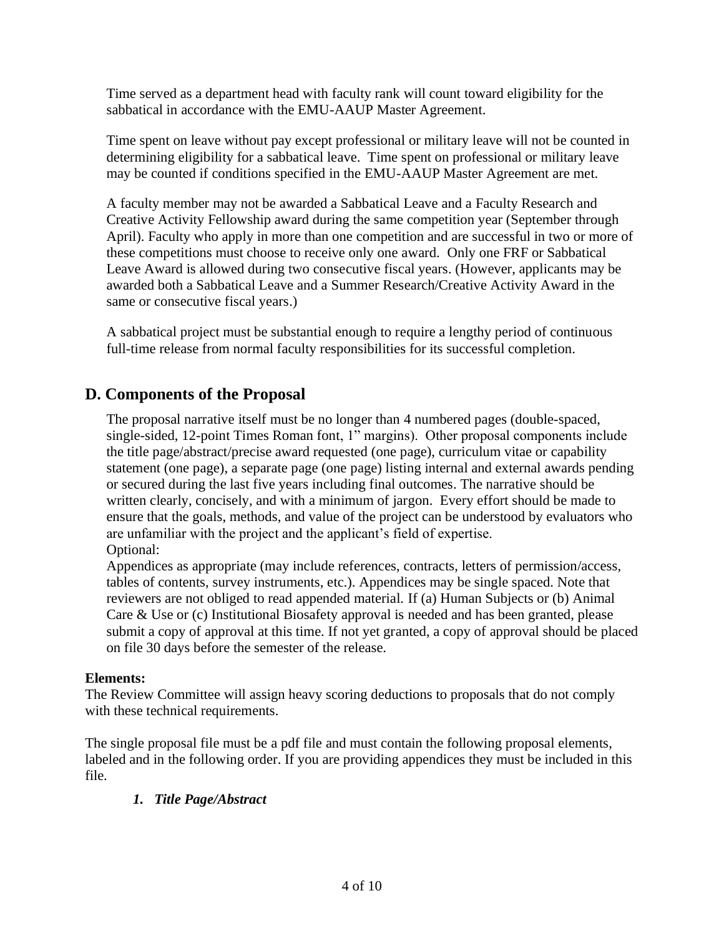Time served as a department head with faculty rank will count toward eligibility for the sabbatical in accordance with the EMU-AAUP Master Agreement.

Time spent on leave without pay except professional or military leave will not be counted in determining eligibility for a sabbatical leave. Time spent on professional or military leave may be counted if conditions specified in the EMU-AAUP Master Agreement are met.

A faculty member may not be awarded a Sabbatical Leave and a Faculty Research and Creative Activity Fellowship award during the same competition year (September through April). Faculty who apply in more than one competition and are successful in two or more of these competitions must choose to receive only one award. Only one FRF or Sabbatical Leave Award is allowed during two consecutive fiscal years. (However, applicants may be awarded both a Sabbatical Leave and a Summer Research/Creative Activity Award in the same or consecutive fiscal years.)

A sabbatical project must be substantial enough to require a lengthy period of continuous full-time release from normal faculty responsibilities for its successful completion.

## **D. Components of the Proposal**

The proposal narrative itself must be no longer than 4 numbered pages (double-spaced, single-sided, 12-point Times Roman font, 1" margins). Other proposal components include the title page/abstract/precise award requested (one page), curriculum vitae or capability statement (one page), a separate page (one page) listing internal and external awards pending or secured during the last five years including final outcomes. The narrative should be written clearly, concisely, and with a minimum of jargon. Every effort should be made to ensure that the goals, methods, and value of the project can be understood by evaluators who are unfamiliar with the project and the applicant's field of expertise. Optional:

Appendices as appropriate (may include references, contracts, letters of permission/access, tables of contents, survey instruments, etc.). Appendices may be single spaced. Note that reviewers are not obliged to read appended material. If (a) Human Subjects or (b) Animal Care & Use or (c) Institutional Biosafety approval is needed and has been granted, please submit a copy of approval at this time. If not yet granted, a copy of approval should be placed on file 30 days before the semester of the release.

#### **Elements:**

The Review Committee will assign heavy scoring deductions to proposals that do not comply with these technical requirements.

The single proposal file must be a pdf file and must contain the following proposal elements, labeled and in the following order. If you are providing appendices they must be included in this file.

#### *1. Title Page/Abstract*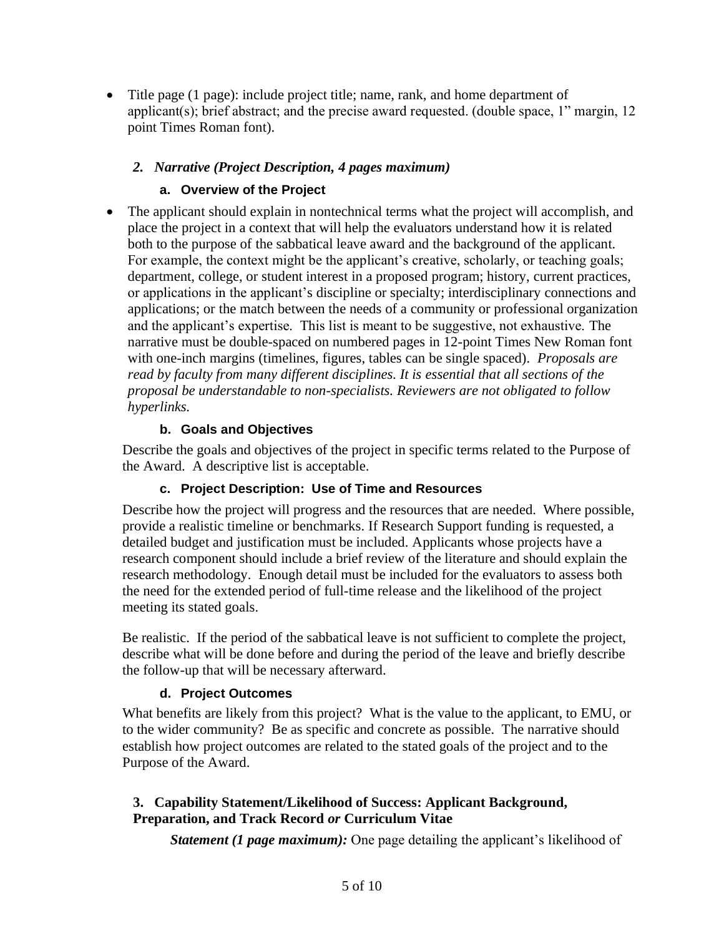• Title page (1 page): include project title; name, rank, and home department of applicant(s); brief abstract; and the precise award requested. (double space, 1" margin, 12 point Times Roman font).

#### *2. Narrative (Project Description, 4 pages maximum)*

#### **a. Overview of the Project**

• The applicant should explain in nontechnical terms what the project will accomplish, and place the project in a context that will help the evaluators understand how it is related both to the purpose of the sabbatical leave award and the background of the applicant. For example, the context might be the applicant's creative, scholarly, or teaching goals; department, college, or student interest in a proposed program; history, current practices, or applications in the applicant's discipline or specialty; interdisciplinary connections and applications; or the match between the needs of a community or professional organization and the applicant's expertise. This list is meant to be suggestive, not exhaustive. The narrative must be double-spaced on numbered pages in 12-point Times New Roman font with one-inch margins (timelines, figures, tables can be single spaced). *Proposals are read by faculty from many different disciplines. It is essential that all sections of the proposal be understandable to non-specialists. Reviewers are not obligated to follow hyperlinks.*

#### **b. Goals and Objectives**

Describe the goals and objectives of the project in specific terms related to the Purpose of the Award. A descriptive list is acceptable.

#### **c. Project Description: Use of Time and Resources**

Describe how the project will progress and the resources that are needed. Where possible, provide a realistic timeline or benchmarks. If Research Support funding is requested, a detailed budget and justification must be included. Applicants whose projects have a research component should include a brief review of the literature and should explain the research methodology. Enough detail must be included for the evaluators to assess both the need for the extended period of full-time release and the likelihood of the project meeting its stated goals.

Be realistic. If the period of the sabbatical leave is not sufficient to complete the project, describe what will be done before and during the period of the leave and briefly describe the follow-up that will be necessary afterward.

#### **d. Project Outcomes**

What benefits are likely from this project? What is the value to the applicant, to EMU, or to the wider community? Be as specific and concrete as possible. The narrative should establish how project outcomes are related to the stated goals of the project and to the Purpose of the Award.

#### **3. Capability Statement/Likelihood of Success: Applicant Background, Preparation, and Track Record** *or* **Curriculum Vitae**

*Statement (1 page maximum):* One page detailing the applicant's likelihood of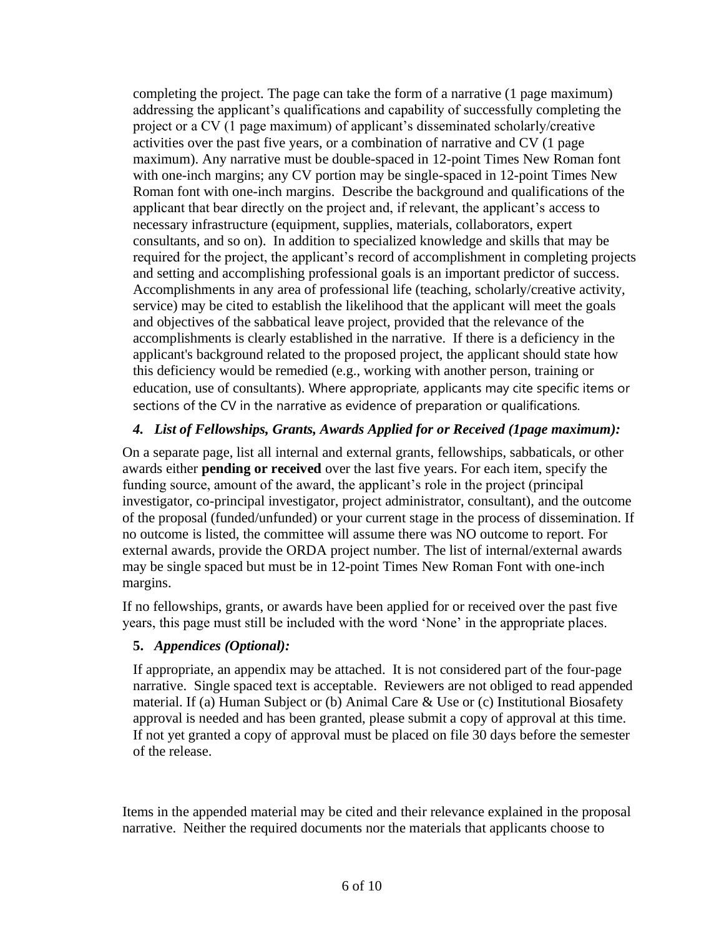completing the project. The page can take the form of a narrative (1 page maximum) addressing the applicant's qualifications and capability of successfully completing the project or a CV (1 page maximum) of applicant's disseminated scholarly/creative activities over the past five years, or a combination of narrative and CV (1 page maximum). Any narrative must be double-spaced in 12-point Times New Roman font with one-inch margins; any CV portion may be single-spaced in 12-point Times New Roman font with one-inch margins. Describe the background and qualifications of the applicant that bear directly on the project and, if relevant, the applicant's access to necessary infrastructure (equipment, supplies, materials, collaborators, expert consultants, and so on). In addition to specialized knowledge and skills that may be required for the project, the applicant's record of accomplishment in completing projects and setting and accomplishing professional goals is an important predictor of success. Accomplishments in any area of professional life (teaching, scholarly/creative activity, service) may be cited to establish the likelihood that the applicant will meet the goals and objectives of the sabbatical leave project, provided that the relevance of the accomplishments is clearly established in the narrative. If there is a deficiency in the applicant's background related to the proposed project, the applicant should state how this deficiency would be remedied (e.g., working with another person, training or education, use of consultants). Where appropriate, applicants may cite specific items or sections of the CV in the narrative as evidence of preparation or qualifications.

#### *4. List of Fellowships, Grants, Awards Applied for or Received (1page maximum):*

On a separate page, list all internal and external grants, fellowships, sabbaticals, or other awards either **pending or received** over the last five years. For each item, specify the funding source, amount of the award, the applicant's role in the project (principal investigator, co-principal investigator, project administrator, consultant), and the outcome of the proposal (funded/unfunded) or your current stage in the process of dissemination. If no outcome is listed, the committee will assume there was NO outcome to report. For external awards, provide the ORDA project number. The list of internal/external awards may be single spaced but must be in 12-point Times New Roman Font with one-inch margins.

If no fellowships, grants, or awards have been applied for or received over the past five years, this page must still be included with the word 'None' in the appropriate places.

#### **5.** *Appendices (Optional):*

If appropriate, an appendix may be attached. It is not considered part of the four-page narrative. Single spaced text is acceptable. Reviewers are not obliged to read appended material. If (a) Human Subject or (b) Animal Care & Use or (c) Institutional Biosafety approval is needed and has been granted, please submit a copy of approval at this time. If not yet granted a copy of approval must be placed on file 30 days before the semester of the release.

Items in the appended material may be cited and their relevance explained in the proposal narrative. Neither the required documents nor the materials that applicants choose to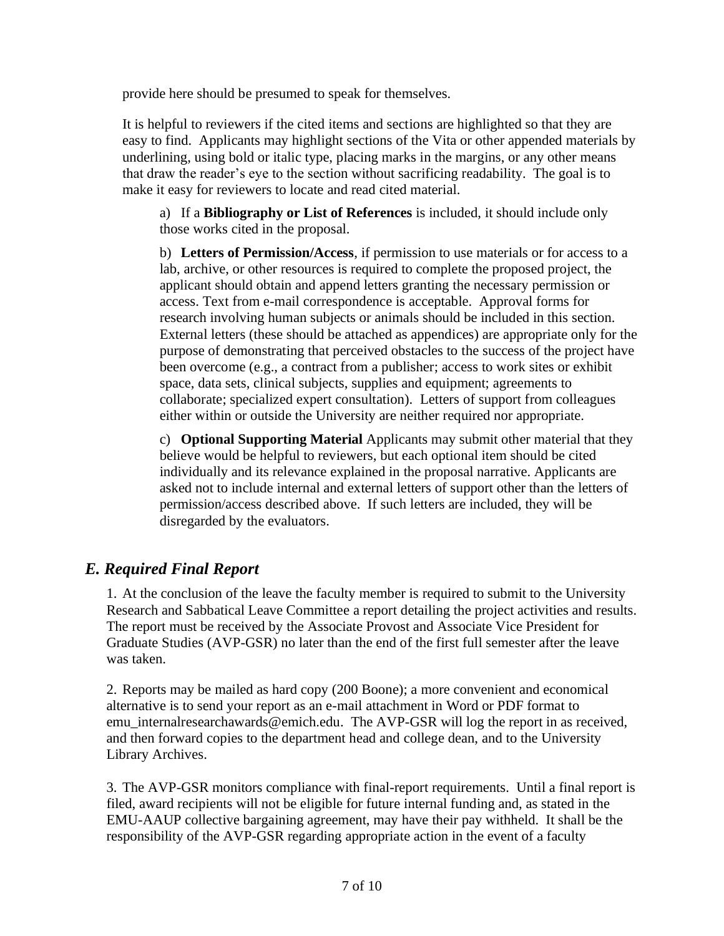provide here should be presumed to speak for themselves.

It is helpful to reviewers if the cited items and sections are highlighted so that they are easy to find. Applicants may highlight sections of the Vita or other appended materials by underlining, using bold or italic type, placing marks in the margins, or any other means that draw the reader's eye to the section without sacrificing readability. The goal is to make it easy for reviewers to locate and read cited material.

a) If a **Bibliography or List of References** is included, it should include only those works cited in the proposal.

b) **Letters of Permission/Access**, if permission to use materials or for access to a lab, archive, or other resources is required to complete the proposed project, the applicant should obtain and append letters granting the necessary permission or access. Text from e-mail correspondence is acceptable. Approval forms for research involving human subjects or animals should be included in this section. External letters (these should be attached as appendices) are appropriate only for the purpose of demonstrating that perceived obstacles to the success of the project have been overcome (e.g., a contract from a publisher; access to work sites or exhibit space, data sets, clinical subjects, supplies and equipment; agreements to collaborate; specialized expert consultation). Letters of support from colleagues either within or outside the University are neither required nor appropriate.

c) **Optional Supporting Material** Applicants may submit other material that they believe would be helpful to reviewers, but each optional item should be cited individually and its relevance explained in the proposal narrative. Applicants are asked not to include internal and external letters of support other than the letters of permission/access described above. If such letters are included, they will be disregarded by the evaluators.

## *E. Required Final Report*

1. At the conclusion of the leave the faculty member is required to submit to the University Research and Sabbatical Leave Committee a report detailing the project activities and results. The report must be received by the Associate Provost and Associate Vice President for Graduate Studies (AVP-GSR) no later than the end of the first full semester after the leave was taken.

2. Reports may be mailed as hard copy (200 Boone); a more convenient and economical alternative is to send your report as an e-mail attachment in Word or PDF format to emu internalresearchawards@emich.edu. The AVP-GSR will log the report in as received, and then forward copies to the department head and college dean, and to the University Library Archives.

3. The AVP-GSR monitors compliance with final-report requirements. Until a final report is filed, award recipients will not be eligible for future internal funding and, as stated in the EMU-AAUP collective bargaining agreement, may have their pay withheld. It shall be the responsibility of the AVP-GSR regarding appropriate action in the event of a faculty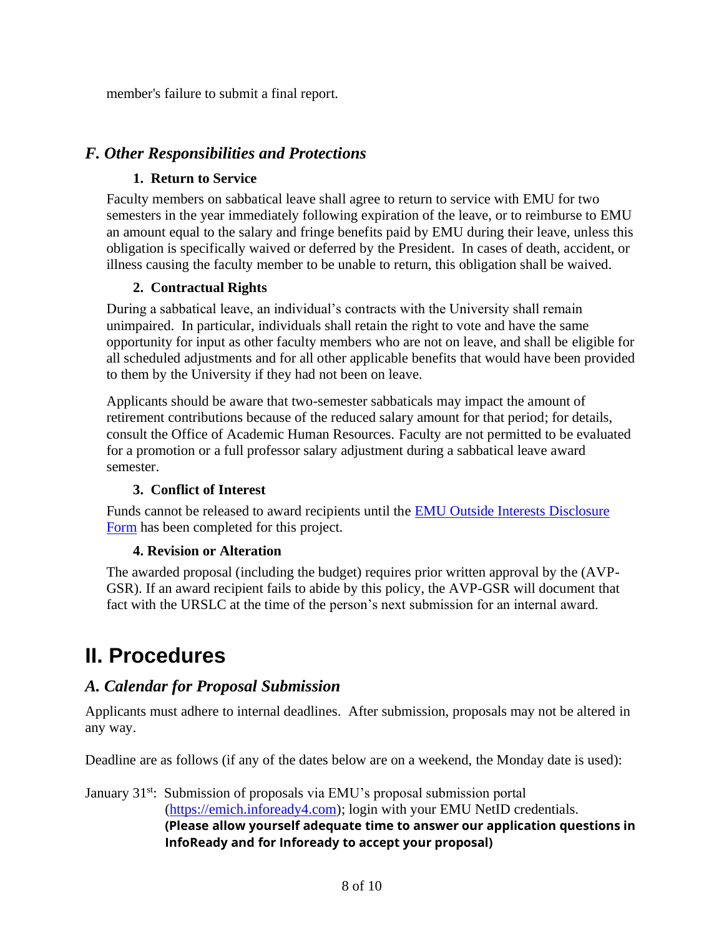member's failure to submit a final report.

### *F. Other Responsibilities and Protections*

#### **1. Return to Service**

Faculty members on sabbatical leave shall agree to return to service with EMU for two semesters in the year immediately following expiration of the leave, or to reimburse to EMU an amount equal to the salary and fringe benefits paid by EMU during their leave, unless this obligation is specifically waived or deferred by the President. In cases of death, accident, or illness causing the faculty member to be unable to return, this obligation shall be waived.

#### **2. Contractual Rights**

During a sabbatical leave, an individual's contracts with the University shall remain unimpaired. In particular, individuals shall retain the right to vote and have the same opportunity for input as other faculty members who are not on leave, and shall be eligible for all scheduled adjustments and for all other applicable benefits that would have been provided to them by the University if they had not been on leave.

Applicants should be aware that two-semester sabbaticals may impact the amount of retirement contributions because of the reduced salary amount for that period; for details, consult the Office of Academic Human Resources. Faculty are not permitted to be evaluated for a promotion or a full professor salary adjustment during a sabbatical leave award semester.

#### **3. Conflict of Interest**

Funds cannot be released to award recipients until the [EMU Outside Interests](https://www.emich.edu/research/compliance/conflict-interest/disclosure-form.php) Disclosure [Form](https://www.emich.edu/research/compliance/conflict-interest/disclosure-form.php) has been completed for this project.

#### **4. Revision or Alteration**

The awarded proposal (including the budget) requires prior written approval by the (AVP-GSR). If an award recipient fails to abide by this policy, the AVP-GSR will document that fact with the URSLC at the time of the person's next submission for an internal award.

# **II. Procedures**

## *A. Calendar for Proposal Submission*

Applicants must adhere to internal deadlines. After submission, proposals may not be altered in any way.

Deadline are as follows (if any of the dates below are on a weekend, the Monday date is used):

January 31<sup>st</sup>: Submission of proposals via EMU's proposal submission portal [\(https://emich.infoready4.com\)](https://emich.infoready4.com/); login with your EMU NetID credentials. **(Please allow yourself adequate time to answer our application questions in InfoReady and for Infoready to accept your proposal)**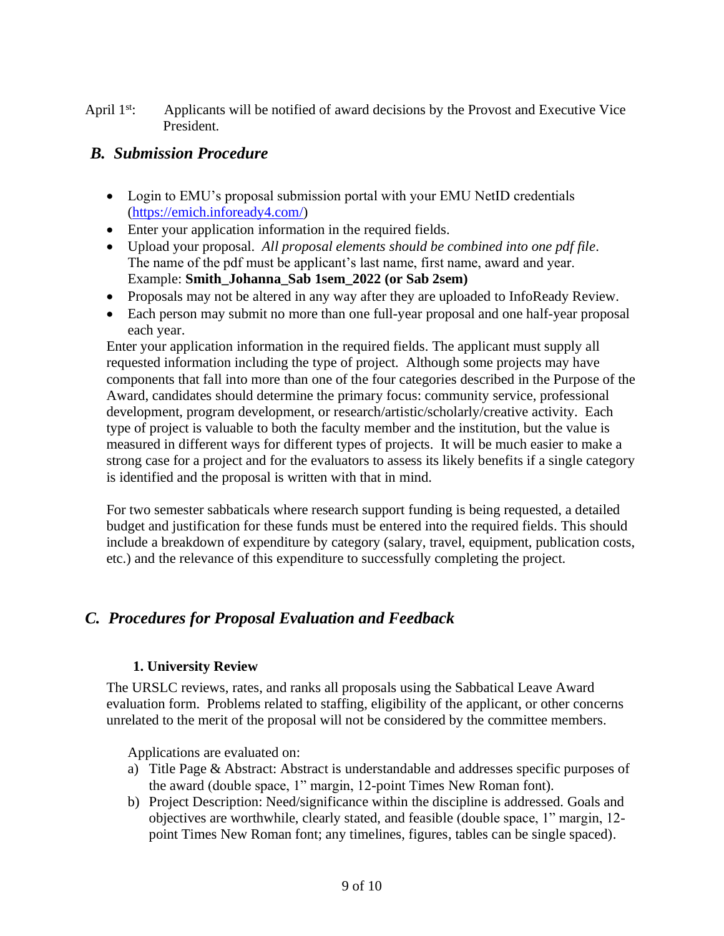April 1<sup>st</sup>: Applicants will be notified of award decisions by the Provost and Executive Vice President.

### *B. Submission Procedure*

- Login to EMU's proposal submission portal with your EMU NetID credentials [\(https://emich.infoready4.com/\)](https://emich.infoready4.com/)
- Enter your application information in the required fields.
- Upload your proposal. *All proposal elements should be combined into one pdf file*. The name of the pdf must be applicant's last name, first name, award and year. Example: **Smith\_Johanna\_Sab 1sem\_2022 (or Sab 2sem)**
- Proposals may not be altered in any way after they are uploaded to InfoReady Review.
- Each person may submit no more than one full-year proposal and one half-year proposal each year.

Enter your application information in the required fields. The applicant must supply all requested information including the type of project. Although some projects may have components that fall into more than one of the four categories described in the Purpose of the Award, candidates should determine the primary focus: community service, professional development, program development, or research/artistic/scholarly/creative activity. Each type of project is valuable to both the faculty member and the institution, but the value is measured in different ways for different types of projects. It will be much easier to make a strong case for a project and for the evaluators to assess its likely benefits if a single category is identified and the proposal is written with that in mind.

For two semester sabbaticals where research support funding is being requested, a detailed budget and justification for these funds must be entered into the required fields. This should include a breakdown of expenditure by category (salary, travel, equipment, publication costs, etc.) and the relevance of this expenditure to successfully completing the project.

## *C. Procedures for Proposal Evaluation and Feedback*

#### **1. University Review**

The URSLC reviews, rates, and ranks all proposals using the Sabbatical Leave Award evaluation form. Problems related to staffing, eligibility of the applicant, or other concerns unrelated to the merit of the proposal will not be considered by the committee members.

Applications are evaluated on:

- a) Title Page & Abstract: Abstract is understandable and addresses specific purposes of the award (double space, 1" margin, 12-point Times New Roman font).
- b) Project Description: Need/significance within the discipline is addressed. Goals and objectives are worthwhile, clearly stated, and feasible (double space, 1" margin, 12 point Times New Roman font; any timelines, figures, tables can be single spaced).